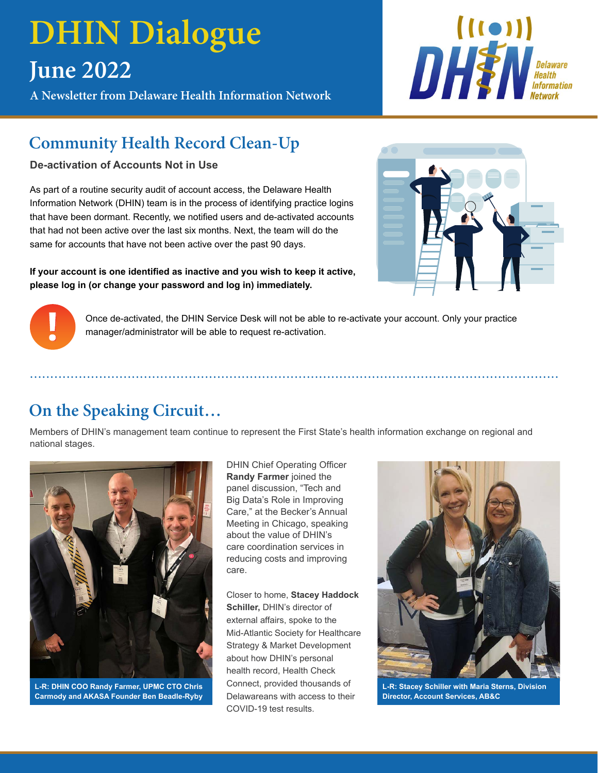# **DHIN Dialogue June 2022**

**A Newsletter from Delaware Health Information Network**



# **Community Health Record Clean-Up**

**De-activation of Accounts Not in Use**

As part of a routine security audit of account access, the Delaware Health Information Network (DHIN) team is in the process of identifying practice logins that have been dormant. Recently, we notified users and de-activated accounts that had not been active over the last six months. Next, the team will do the same for accounts that have not been active over the past 90 days.

**If your account is one identified as inactive and you wish to keep it active, please log in (or change your password and log in) immediately.**





Once de-activated, the DHIN Service Desk will not be able to re-activate your account. Only your practice manager/administrator will be able to request re-activation.

..................................................................................................................................

# **On the Speaking Circuit…**

Members of DHIN's management team continue to represent the First State's health information exchange on regional and national stages.



**L-R: DHIN COO Randy Farmer, UPMC CTO Chris Carmody and AKASA Founder Ben Beadle-Ryby**

DHIN Chief Operating Officer **Randy Farmer** joined the panel discussion, "Tech and Big Data's Role in Improving Care," at the Becker's Annual Meeting in Chicago, speaking about the value of DHIN's care coordination services in reducing costs and improving care.

Closer to home, **Stacey Haddock Schiller,** DHIN's director of external affairs, spoke to the Mid-Atlantic Society for Healthcare Strategy & Market Development about how DHIN's personal health record, Health Check Connect, provided thousands of Delawareans with access to their COVID-19 test results.



**L-R: Stacey Schiller with Maria Sterns, Division Director, Account Services, AB&C**